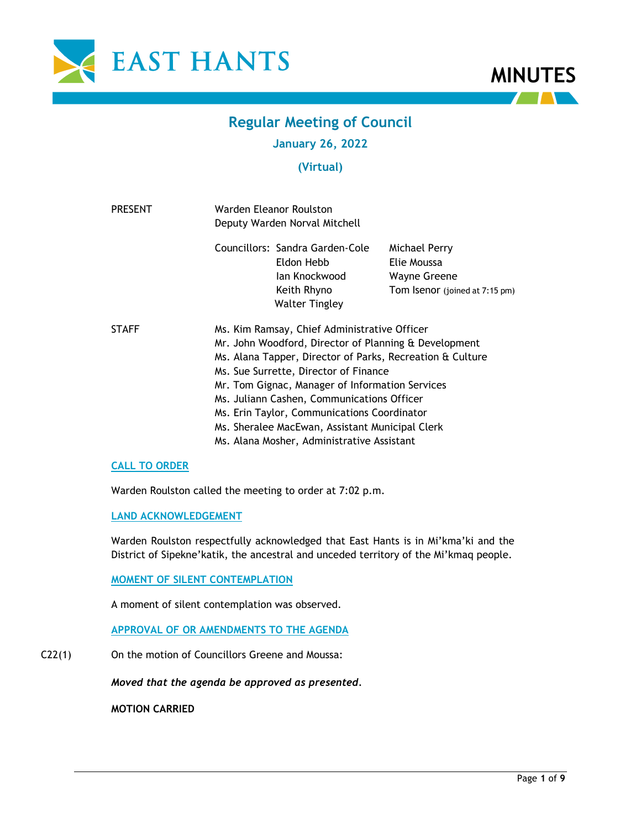



# **Regular Meeting of Council**

# **January 26, 2022**

# **(Virtual)**

| <b>PRESENT</b> | Warden Eleanor Roulston<br>Deputy Warden Norval Mitchell                                                                                                                                                                                                                                                                                                                                                                                                     |                                                                                                        |                                                                                       |  |
|----------------|--------------------------------------------------------------------------------------------------------------------------------------------------------------------------------------------------------------------------------------------------------------------------------------------------------------------------------------------------------------------------------------------------------------------------------------------------------------|--------------------------------------------------------------------------------------------------------|---------------------------------------------------------------------------------------|--|
|                |                                                                                                                                                                                                                                                                                                                                                                                                                                                              | Councillors: Sandra Garden-Cole<br>Eldon Hebb<br>lan Knockwood<br>Keith Rhyno<br><b>Walter Tingley</b> | Michael Perry<br>Elie Moussa<br><b>Wayne Greene</b><br>Tom Isenor (joined at 7:15 pm) |  |
| <b>STAFF</b>   | Ms. Kim Ramsay, Chief Administrative Officer<br>Mr. John Woodford, Director of Planning & Development<br>Ms. Alana Tapper, Director of Parks, Recreation & Culture<br>Ms. Sue Surrette, Director of Finance<br>Mr. Tom Gignac, Manager of Information Services<br>Ms. Juliann Cashen, Communications Officer<br>Ms. Erin Taylor, Communications Coordinator<br>Ms. Sheralee MacEwan, Assistant Municipal Clerk<br>Ms. Alana Mosher, Administrative Assistant |                                                                                                        |                                                                                       |  |

# **CALL TO ORDER**

Warden Roulston called the meeting to order at 7:02 p.m.

# **LAND ACKNOWLEDGEMENT**

Warden Roulston respectfully acknowledged that East Hants is in Mi'kma'ki and the District of Sipekne'katik, the ancestral and unceded territory of the Mi'kmaq people.

# **MOMENT OF SILENT CONTEMPLATION**

A moment of silent contemplation was observed.

# **APPROVAL OF OR AMENDMENTS TO THE AGENDA**

C22(1) On the motion of Councillors Greene and Moussa:

*Moved that the agenda be approved as presented.*

**MOTION CARRIED**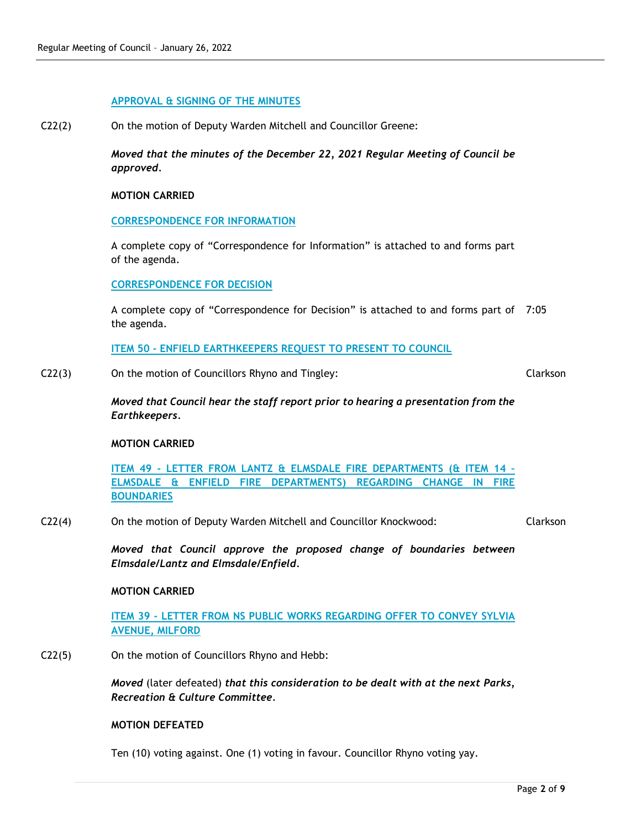# **APPROVAL & SIGNING OF THE MINUTES**

C22(2) On the motion of Deputy Warden Mitchell and Councillor Greene:

*Moved that the minutes of the December 22, 2021 Regular Meeting of Council be approved.* 

#### **MOTION CARRIED**

#### **CORRESPONDENCE FOR INFORMATION**

A complete copy of "Correspondence for Information" is attached to and forms part of the agenda.

# **CORRESPONDENCE FOR DECISION**

A complete copy of "Correspondence for Decision" is attached to and forms part of 7:05 the agenda.

**ITEM 50 - ENFIELD EARTHKEEPERS REQUEST TO PRESENT TO COUNCIL**

C22(3) On the motion of Councillors Rhyno and Tingley:

Clarkson

*Moved that Council hear the staff report prior to hearing a presentation from the Earthkeepers.*

#### **MOTION CARRIED**

**ITEM 49 - LETTER FROM LANTZ & ELMSDALE FIRE DEPARTMENTS (& ITEM 14 – ELMSDALE & ENFIELD FIRE DEPARTMENTS) REGARDING CHANGE IN FIRE BOUNDARIES**

C22(4) On the motion of Deputy Warden Mitchell and Councillor Knockwood:

Clarkson

*Moved that Council approve the proposed change of boundaries between Elmsdale/Lantz and Elmsdale/Enfield.*

#### **MOTION CARRIED**

**ITEM 39 - LETTER FROM NS PUBLIC WORKS REGARDING OFFER TO CONVEY SYLVIA AVENUE, MILFORD**

C22(5) On the motion of Councillors Rhyno and Hebb:

*Moved* (later defeated) *that this consideration to be dealt with at the next Parks, Recreation & Culture Committee.*

#### **MOTION DEFEATED**

Ten (10) voting against. One (1) voting in favour. Councillor Rhyno voting yay.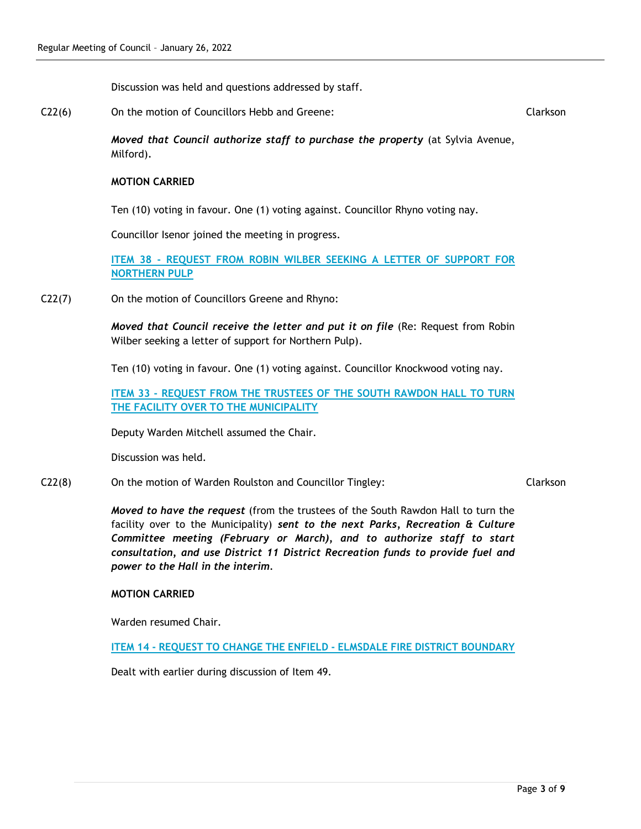Discussion was held and questions addressed by staff.

C22(6) On the motion of Councillors Hebb and Greene:

Clarkson

*Moved that Council authorize staff to purchase the property* (at Sylvia Avenue, Milford)*.*

# **MOTION CARRIED**

Ten (10) voting in favour. One (1) voting against. Councillor Rhyno voting nay.

Councillor Isenor joined the meeting in progress.

**ITEM 38 - REQUEST FROM ROBIN WILBER SEEKING A LETTER OF SUPPORT FOR NORTHERN PULP**

C22(7) On the motion of Councillors Greene and Rhyno:

*Moved that Council receive the letter and put it on file* (Re: Request from Robin Wilber seeking a letter of support for Northern Pulp).

Ten (10) voting in favour. One (1) voting against. Councillor Knockwood voting nay.

**ITEM 33 - REQUEST FROM THE TRUSTEES OF THE SOUTH RAWDON HALL TO TURN THE FACILITY OVER TO THE MUNICIPALITY**

Deputy Warden Mitchell assumed the Chair.

Discussion was held.

# C22(8) On the motion of Warden Roulston and Councillor Tingley:

Clarkson

*Moved to have the request* (from the trustees of the South Rawdon Hall to turn the facility over to the Municipality) *sent to the next Parks, Recreation & Culture Committee meeting (February or March), and to authorize staff to start consultation, and use District 11 District Recreation funds to provide fuel and power to the Hall in the interim.*

# **MOTION CARRIED**

Warden resumed Chair.

**ITEM 14 - REQUEST TO CHANGE THE ENFIELD - ELMSDALE FIRE DISTRICT BOUNDARY**

Dealt with earlier during discussion of Item 49.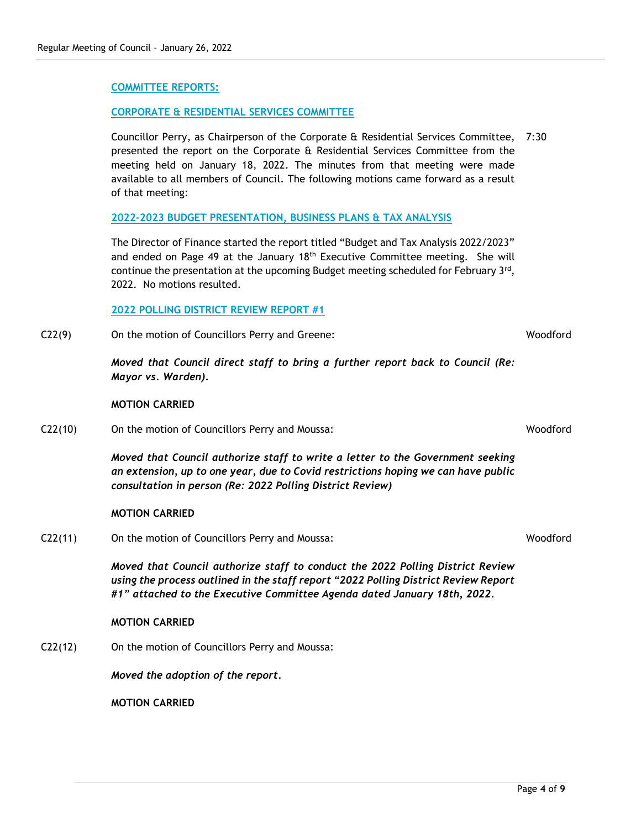# **2022-2023 BUDGET PRESENTATION, BUSINESS PLANS & TAX ANALYSIS**

The Director of Finance started the report titled "Budget and Tax Analysis 2022/2023" and ended on Page 49 at the January 18<sup>th</sup> Executive Committee meeting. She will continue the presentation at the upcoming Budget meeting scheduled for February 3rd, 2022. No motions resulted.

Councillor Perry, as Chairperson of the Corporate & Residential Services Committee, 7:30 presented the report on the Corporate & Residential Services Committee from the meeting held on January 18, 2022. The minutes from that meeting were made

#### **2022 POLLING DISTRICT REVIEW REPORT #1**

**CORPORATE & RESIDENTIAL SERVICES COMMITTEE**

C22(9) On the motion of Councillors Perry and Greene:

*Moved that Council direct staff to bring a further report back to Council (Re: Mayor vs. Warden).*

#### **MOTION CARRIED**

C22(10) On the motion of Councillors Perry and Moussa:

*Moved that Council authorize staff to write a letter to the Government seeking an extension, up to one year, due to Covid restrictions hoping we can have public consultation in person (Re: 2022 Polling District Review)*

#### **MOTION CARRIED**

C22(11) On the motion of Councillors Perry and Moussa:

*Moved that Council authorize staff to conduct the 2022 Polling District Review using the process outlined in the staff report "2022 Polling District Review Report #1" attached to the Executive Committee Agenda dated January 18th, 2022.*

#### **MOTION CARRIED**

C22(12) On the motion of Councillors Perry and Moussa:

*Moved the adoption of the report.*

**MOTION CARRIED**

**COMMITTEE REPORTS:**

of that meeting:

Woodford

Woodford

Woodford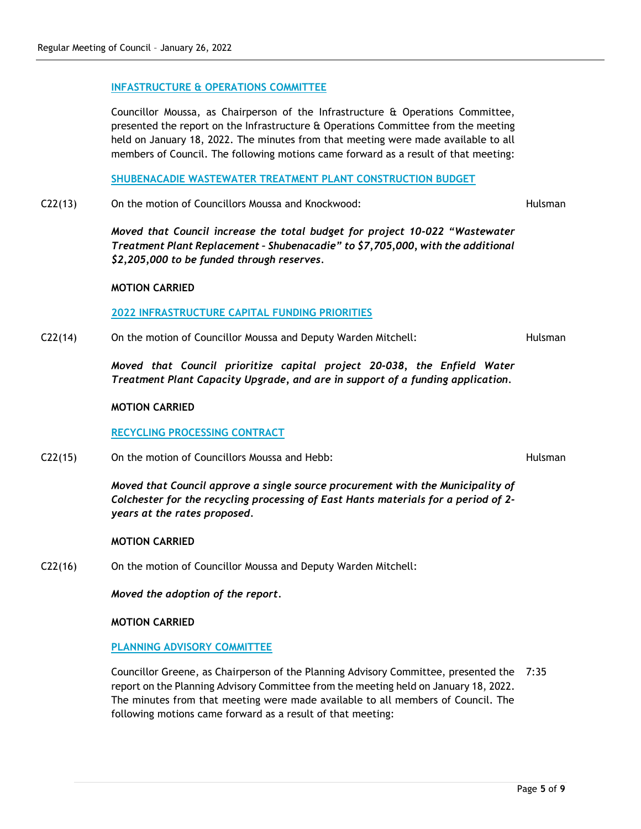# **INFASTRUCTURE & OPERATIONS COMMITTEE**

Councillor Moussa, as Chairperson of the Infrastructure & Operations Committee, presented the report on the Infrastructure & Operations Committee from the meeting held on January 18, 2022. The minutes from that meeting were made available to all members of Council. The following motions came forward as a result of that meeting:

**SHUBENACADIE WASTEWATER TREATMENT PLANT CONSTRUCTION BUDGET**

C22(13) On the motion of Councillors Moussa and Knockwood:

*Moved that Council increase the total budget for project 10-022 "Wastewater Treatment Plant Replacement – Shubenacadie" to \$7,705,000, with the additional \$2,205,000 to be funded through reserves.*

# **MOTION CARRIED**

# **2022 INFRASTRUCTURE CAPITAL FUNDING PRIORITIES**

C22(14) On the motion of Councillor Moussa and Deputy Warden Mitchell:

Hulsman

Hulsman

Hulsman

*Moved that Council prioritize capital project 20-038, the Enfield Water Treatment Plant Capacity Upgrade, and are in support of a funding application.*

#### **MOTION CARRIED**

# **RECYCLING PROCESSING CONTRACT**

C22(15) On the motion of Councillors Moussa and Hebb:

*Moved that Council approve a single source procurement with the Municipality of Colchester for the recycling processing of East Hants materials for a period of 2 years at the rates proposed.*

# **MOTION CARRIED**

C22(16) On the motion of Councillor Moussa and Deputy Warden Mitchell:

*Moved the adoption of the report.*

**MOTION CARRIED**

# **PLANNING ADVISORY COMMITTEE**

Councillor Greene, as Chairperson of the Planning Advisory Committee, presented the 7:35report on the Planning Advisory Committee from the meeting held on January 18, 2022. The minutes from that meeting were made available to all members of Council. The following motions came forward as a result of that meeting: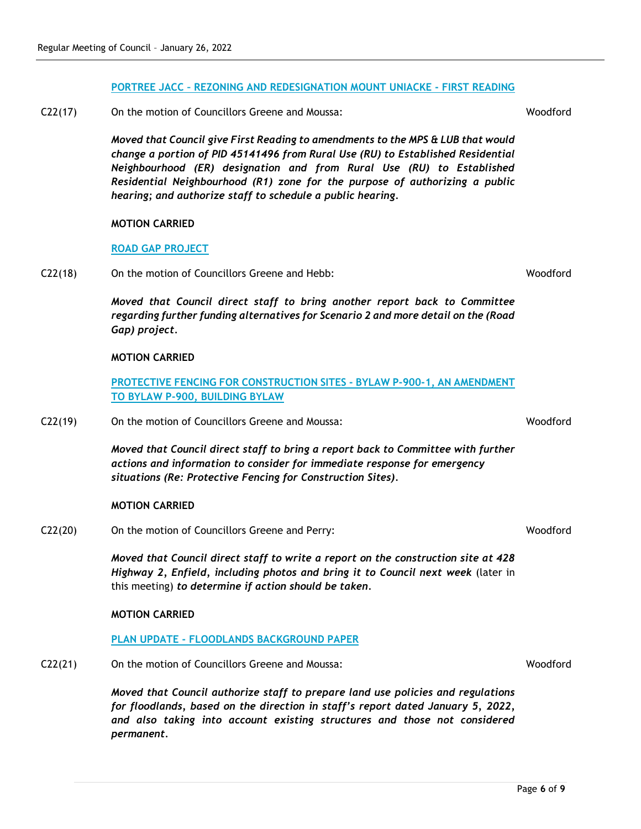# **PORTREE JACC – REZONING AND REDESIGNATION MOUNT UNIACKE - FIRST READING**

C22(17) On the motion of Councillors Greene and Moussa:

*Moved that Council give First Reading to amendments to the MPS & LUB that would change a portion of PID 45141496 from Rural Use (RU) to Established Residential Neighbourhood (ER) designation and from Rural Use (RU) to Established Residential Neighbourhood (R1) zone for the purpose of authorizing a public hearing; and authorize staff to schedule a public hearing.*

# **MOTION CARRIED**

# **ROAD GAP PROJECT**

C22(18) On the motion of Councillors Greene and Hebb:

*Moved that Council direct staff to bring another report back to Committee regarding further funding alternatives for Scenario 2 and more detail on the (Road Gap) project.*

# **MOTION CARRIED**

**PROTECTIVE FENCING FOR CONSTRUCTION SITES - BYLAW P-900-1, AN AMENDMENT TO BYLAW P-900, BUILDING BYLAW**

C22(19) On the motion of Councillors Greene and Moussa:

*Moved that Council direct staff to bring a report back to Committee with further actions and information to consider for immediate response for emergency situations (Re: Protective Fencing for Construction Sites).*

# **MOTION CARRIED**

C22(20) On the motion of Councillors Greene and Perry:

*Moved that Council direct staff to write a report on the construction site at 428 Highway 2, Enfield, including photos and bring it to Council next week* (later in this meeting) *to determine if action should be taken.*

# **MOTION CARRIED**

# **PLAN UPDATE - FLOODLANDS BACKGROUND PAPER**

C22(21) On the motion of Councillors Greene and Moussa:

*Moved that Council authorize staff to prepare land use policies and regulations for floodlands, based on the direction in staff's report dated January 5, 2022, and also taking into account existing structures and those not considered permanent.*

**Woodford** 

Woodford

Woodford

Page **6** of **9**

Woodford

Woodford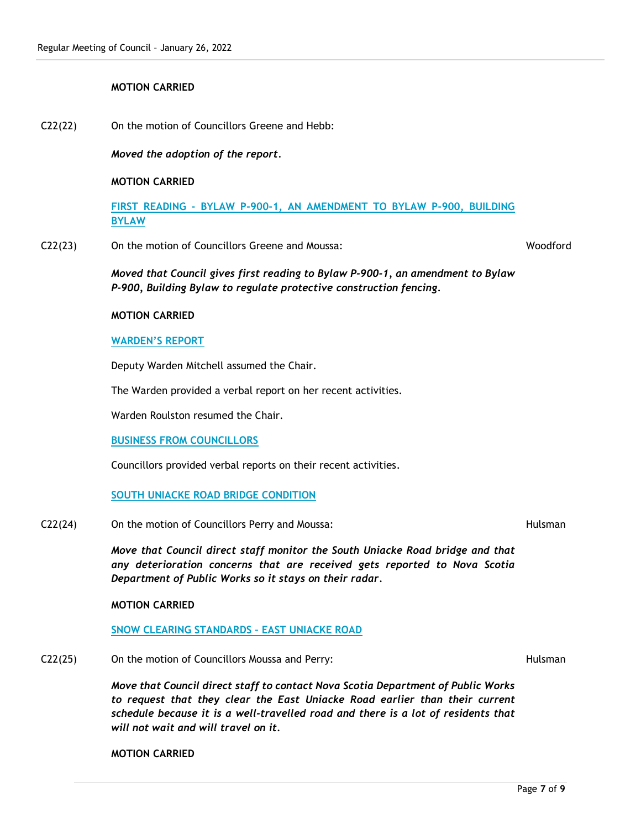# **MOTION CARRIED**

C22(22) On the motion of Councillors Greene and Hebb:

*Moved the adoption of the report.*

#### **MOTION CARRIED**

**FIRST READING - BYLAW P-900-1, AN AMENDMENT TO BYLAW P-900, BUILDING BYLAW**

C22(23) On the motion of Councillors Greene and Moussa:

Woodford

*Moved that Council gives first reading to Bylaw P-900-1, an amendment to Bylaw P-900, Building Bylaw to regulate protective construction fencing.* 

#### **MOTION CARRIED**

#### **WARDEN'S REPORT**

Deputy Warden Mitchell assumed the Chair.

The Warden provided a verbal report on her recent activities.

Warden Roulston resumed the Chair.

#### **BUSINESS FROM COUNCILLORS**

Councillors provided verbal reports on their recent activities.

#### **SOUTH UNIACKE ROAD BRIDGE CONDITION**

C22(24) On the motion of Councillors Perry and Moussa:

*Move that Council direct staff monitor the South Uniacke Road bridge and that any deterioration concerns that are received gets reported to Nova Scotia Department of Public Works so it stays on their radar.*

#### **MOTION CARRIED**

**SNOW CLEARING STANDARDS – EAST UNIACKE ROAD**

C22(25) On the motion of Councillors Moussa and Perry:

*Move that Council direct staff to contact Nova Scotia Department of Public Works to request that they clear the East Uniacke Road earlier than their current schedule because it is a well-travelled road and there is a lot of residents that will not wait and will travel on it.*

**MOTION CARRIED**

Hulsman

Hulsman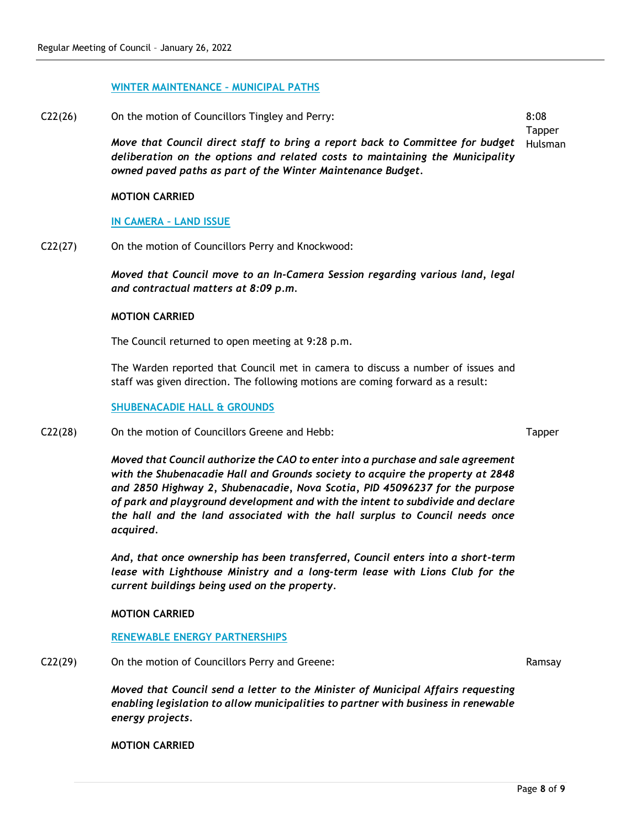#### **WINTER MAINTENANCE – MUNICIPAL PATHS**

*owned paved paths as part of the Winter Maintenance Budget.* 

C22(26) On the motion of Councillors Tingley and Perry: *Move that Council direct staff to bring a report back to Committee for budget deliberation on the options and related costs to maintaining the Municipality*  8:08 **Tapper** Hulsman

# **MOTION CARRIED**

# **IN CAMERA – LAND ISSUE**

C22(27) On the motion of Councillors Perry and Knockwood:

*Moved that Council move to an In-Camera Session regarding various land, legal and contractual matters at 8:09 p.m.*

#### **MOTION CARRIED**

The Council returned to open meeting at 9:28 p.m.

The Warden reported that Council met in camera to discuss a number of issues and staff was given direction. The following motions are coming forward as a result:

#### **SHUBENACADIE HALL & GROUNDS**

C22(28) On the motion of Councillors Greene and Hebb:

*Moved that Council authorize the CAO to enter into a purchase and sale agreement with the Shubenacadie Hall and Grounds society to acquire the property at 2848 and 2850 Highway 2, Shubenacadie, Nova Scotia, PID 45096237 for the purpose of park and playground development and with the intent to subdivide and declare the hall and the land associated with the hall surplus to Council needs once acquired.*

*And, that once ownership has been transferred, Council enters into a short-term lease with Lighthouse Ministry and a long-term lease with Lions Club for the current buildings being used on the property.*

# **MOTION CARRIED**

#### **RENEWABLE ENERGY PARTNERSHIPS**

C22(29) On the motion of Councillors Perry and Greene:

*Moved that Council send a letter to the Minister of Municipal Affairs requesting enabling legislation to allow municipalities to partner with business in renewable energy projects.*

**MOTION CARRIED**

Tapper

Ramsay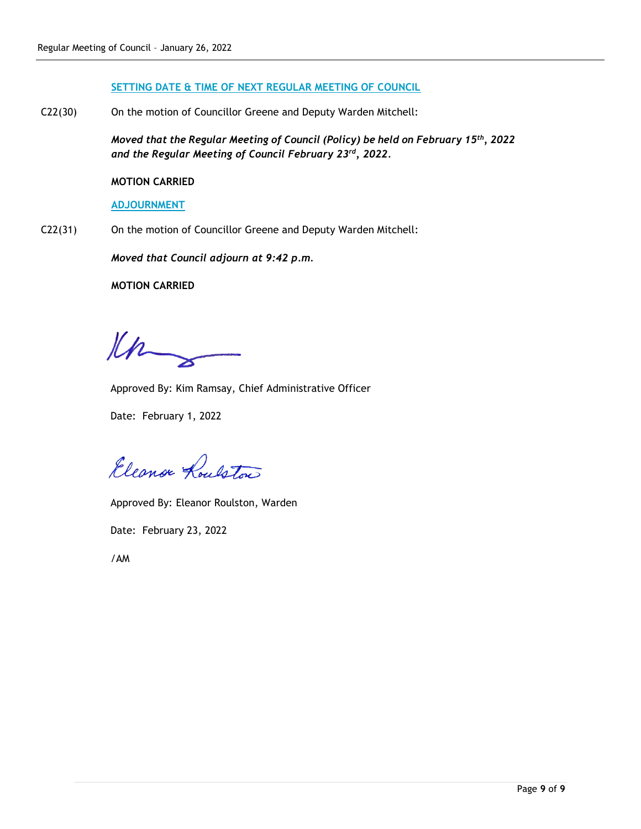#### **SETTING DATE & TIME OF NEXT REGULAR MEETING OF COUNCIL**

C22(30) On the motion of Councillor Greene and Deputy Warden Mitchell:

*Moved that the Regular Meeting of Council (Policy) be held on February 15th, 2022 and the Regular Meeting of Council February 23rd, 2022.*

# **MOTION CARRIED**

# **ADJOURNMENT**

C22(31) On the motion of Councillor Greene and Deputy Warden Mitchell:

*Moved that Council adjourn at 9:42 p.m.*

# **MOTION CARRIED**

Kn

Approved By: Kim Ramsay, Chief Administrative Officer

Date: February 1, 2022

Eleanor Roulston

Approved By: Eleanor Roulston, Warden

Date: February 23, 2022

/AM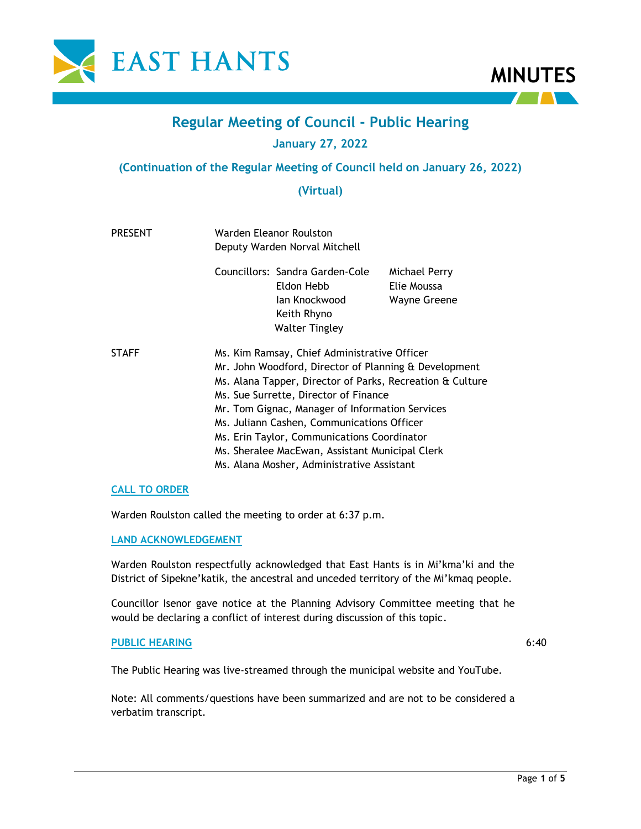



# **Regular Meeting of Council - Public Hearing**

# **January 27, 2022**

# **(Continuation of the Regular Meeting of Council held on January 26, 2022)**

# **(Virtual)**

| <b>PRESENT</b> | Warden Eleanor Roulston<br>Deputy Warden Norval Mitchell                                                                                                                                                                                                                                                                                                                                                                                                     |                                                                                                        |                                                     |  |
|----------------|--------------------------------------------------------------------------------------------------------------------------------------------------------------------------------------------------------------------------------------------------------------------------------------------------------------------------------------------------------------------------------------------------------------------------------------------------------------|--------------------------------------------------------------------------------------------------------|-----------------------------------------------------|--|
|                |                                                                                                                                                                                                                                                                                                                                                                                                                                                              | Councillors: Sandra Garden-Cole<br>Eldon Hebb<br>lan Knockwood<br>Keith Rhyno<br><b>Walter Tingley</b> | Michael Perry<br>Elie Moussa<br><b>Wayne Greene</b> |  |
| <b>STAFF</b>   | Ms. Kim Ramsay, Chief Administrative Officer<br>Mr. John Woodford, Director of Planning & Development<br>Ms. Alana Tapper, Director of Parks, Recreation & Culture<br>Ms. Sue Surrette, Director of Finance<br>Mr. Tom Gignac, Manager of Information Services<br>Ms. Juliann Cashen, Communications Officer<br>Ms. Erin Taylor, Communications Coordinator<br>Ms. Sheralee MacEwan, Assistant Municipal Clerk<br>Ms. Alana Mosher, Administrative Assistant |                                                                                                        |                                                     |  |

# **CALL TO ORDER**

Warden Roulston called the meeting to order at 6:37 p.m.

# **LAND ACKNOWLEDGEMENT**

Warden Roulston respectfully acknowledged that East Hants is in Mi'kma'ki and the District of Sipekne'katik, the ancestral and unceded territory of the Mi'kmaq people.

Councillor Isenor gave notice at the Planning Advisory Committee meeting that he would be declaring a conflict of interest during discussion of this topic.

# **PUBLIC HEARING**

6:40

The Public Hearing was live-streamed through the municipal website and YouTube.

Note: All comments/questions have been summarized and are not to be considered a verbatim transcript.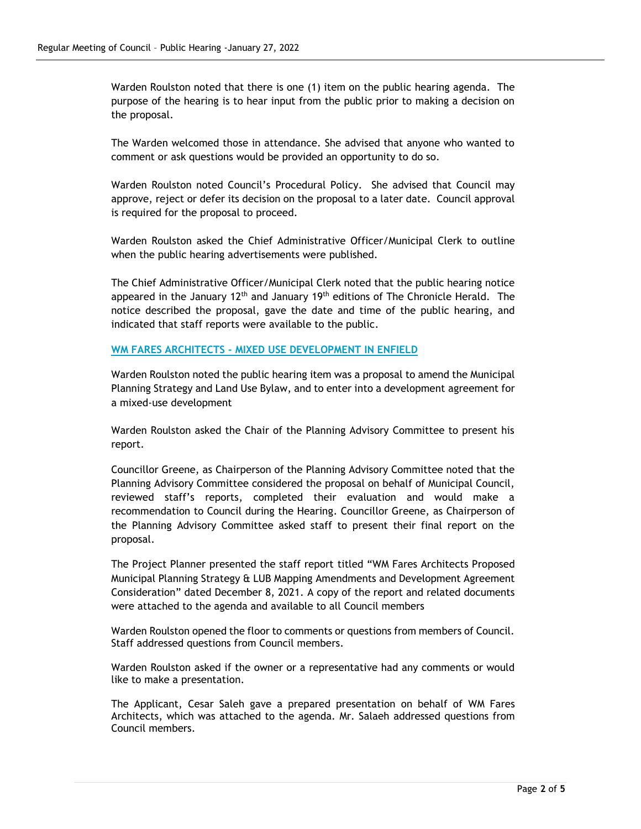Warden Roulston noted that there is one (1) item on the public hearing agenda. The purpose of the hearing is to hear input from the public prior to making a decision on the proposal.

The Warden welcomed those in attendance. She advised that anyone who wanted to comment or ask questions would be provided an opportunity to do so.

Warden Roulston noted Council's Procedural Policy. She advised that Council may approve, reject or defer its decision on the proposal to a later date. Council approval is required for the proposal to proceed.

Warden Roulston asked the Chief Administrative Officer/Municipal Clerk to outline when the public hearing advertisements were published.

The Chief Administrative Officer/Municipal Clerk noted that the public hearing notice appeared in the January  $12<sup>th</sup>$  and January  $19<sup>th</sup>$  editions of The Chronicle Herald. The notice described the proposal, gave the date and time of the public hearing, and indicated that staff reports were available to the public.

# **WM FARES ARCHITECTS - MIXED USE DEVELOPMENT IN ENFIELD**

Warden Roulston noted the public hearing item was a proposal to amend the Municipal Planning Strategy and Land Use Bylaw, and to enter into a development agreement for a mixed-use development

Warden Roulston asked the Chair of the Planning Advisory Committee to present his report.

Councillor Greene, as Chairperson of the Planning Advisory Committee noted that the Planning Advisory Committee considered the proposal on behalf of Municipal Council, reviewed staff's reports, completed their evaluation and would make a recommendation to Council during the Hearing. Councillor Greene, as Chairperson of the Planning Advisory Committee asked staff to present their final report on the proposal.

The Project Planner presented the staff report titled "WM Fares Architects Proposed Municipal Planning Strategy & LUB Mapping Amendments and Development Agreement Consideration" dated December 8, 2021. A copy of the report and related documents were attached to the agenda and available to all Council members

Warden Roulston opened the floor to comments or questions from members of Council. Staff addressed questions from Council members.

Warden Roulston asked if the owner or a representative had any comments or would like to make a presentation.

The Applicant, Cesar Saleh gave a prepared presentation on behalf of WM Fares Architects, which was attached to the agenda. Mr. Salaeh addressed questions from Council members.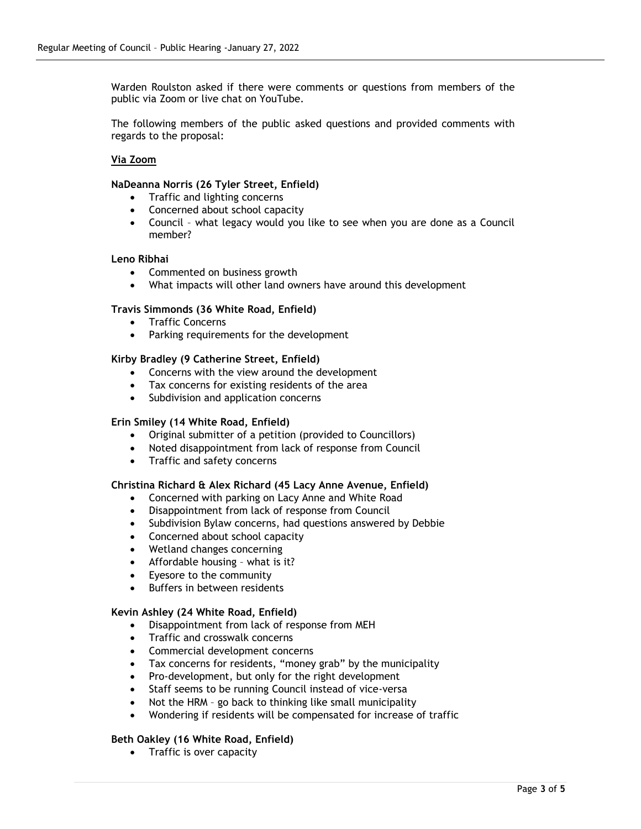Warden Roulston asked if there were comments or questions from members of the public via Zoom or live chat on YouTube.

The following members of the public asked questions and provided comments with regards to the proposal:

# **Via Zoom**

#### **NaDeanna Norris (26 Tyler Street, Enfield)**

- Traffic and lighting concerns
- Concerned about school capacity
- Council what legacy would you like to see when you are done as a Council member?

# **Leno Ribhai**

- Commented on business growth
- What impacts will other land owners have around this development

# **Travis Simmonds (36 White Road, Enfield)**

- Traffic Concerns
- Parking requirements for the development

#### **Kirby Bradley (9 Catherine Street, Enfield)**

- Concerns with the view around the development
- Tax concerns for existing residents of the area
- Subdivision and application concerns

#### **Erin Smiley (14 White Road, Enfield)**

- Original submitter of a petition (provided to Councillors)
- Noted disappointment from lack of response from Council
- Traffic and safety concerns

#### **Christina Richard & Alex Richard (45 Lacy Anne Avenue, Enfield)**

- Concerned with parking on Lacy Anne and White Road
- Disappointment from lack of response from Council
- Subdivision Bylaw concerns, had questions answered by Debbie
- Concerned about school capacity
- Wetland changes concerning
- Affordable housing what is it?
- Eyesore to the community
- Buffers in between residents

# **Kevin Ashley (24 White Road, Enfield)**

- Disappointment from lack of response from MEH
- Traffic and crosswalk concerns
- Commercial development concerns
- Tax concerns for residents, "money grab" by the municipality
- Pro-development, but only for the right development
- Staff seems to be running Council instead of vice-versa
- Not the HRM go back to thinking like small municipality
- Wondering if residents will be compensated for increase of traffic

# **Beth Oakley (16 White Road, Enfield)**

• Traffic is over capacity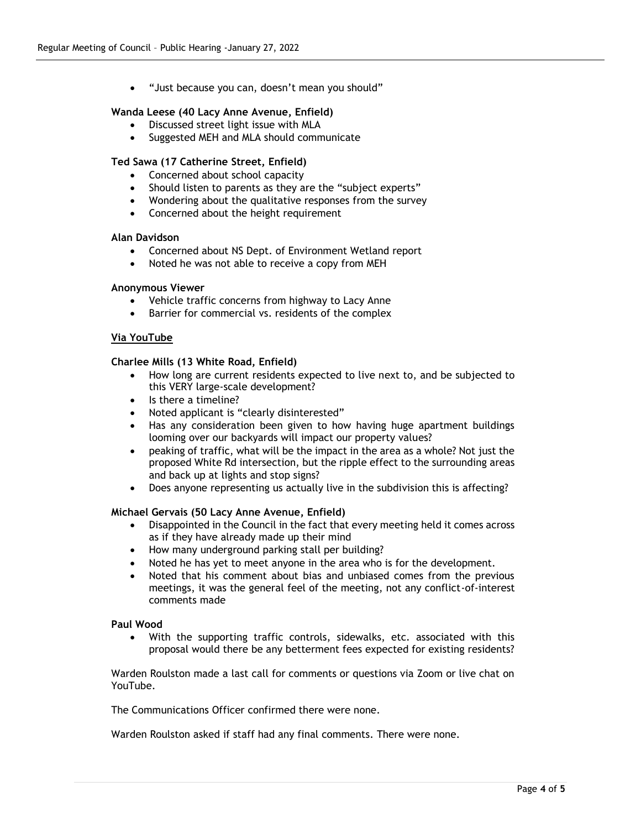• "Just because you can, doesn't mean you should"

#### **Wanda Leese (40 Lacy Anne Avenue, Enfield)**

- Discussed street light issue with MLA
- Suggested MEH and MLA should communicate

#### **Ted Sawa (17 Catherine Street, Enfield)**

- Concerned about school capacity
- Should listen to parents as they are the "subject experts"
- Wondering about the qualitative responses from the survey
- Concerned about the height requirement

#### **Alan Davidson**

- Concerned about NS Dept. of Environment Wetland report
- Noted he was not able to receive a copy from MEH

#### **Anonymous Viewer**

- Vehicle traffic concerns from highway to Lacy Anne
- Barrier for commercial vs. residents of the complex

#### **Via YouTube**

#### **Charlee Mills (13 White Road, Enfield)**

- How long are current residents expected to live next to, and be subjected to this VERY large-scale development?
- Is there a timeline?
- Noted applicant is "clearly disinterested"
- Has any consideration been given to how having huge apartment buildings looming over our backyards will impact our property values?
- peaking of traffic, what will be the impact in the area as a whole? Not just the proposed White Rd intersection, but the ripple effect to the surrounding areas and back up at lights and stop signs?
- Does anyone representing us actually live in the subdivision this is affecting?

#### **Michael Gervais (50 Lacy Anne Avenue, Enfield)**

- Disappointed in the Council in the fact that every meeting held it comes across as if they have already made up their mind
- How many underground parking stall per building?
- Noted he has yet to meet anyone in the area who is for the development.
- Noted that his comment about bias and unbiased comes from the previous meetings, it was the general feel of the meeting, not any conflict-of-interest comments made

#### **Paul Wood**

• With the supporting traffic controls, sidewalks, etc. associated with this proposal would there be any betterment fees expected for existing residents?

Warden Roulston made a last call for comments or questions via Zoom or live chat on YouTube.

The Communications Officer confirmed there were none.

Warden Roulston asked if staff had any final comments. There were none.